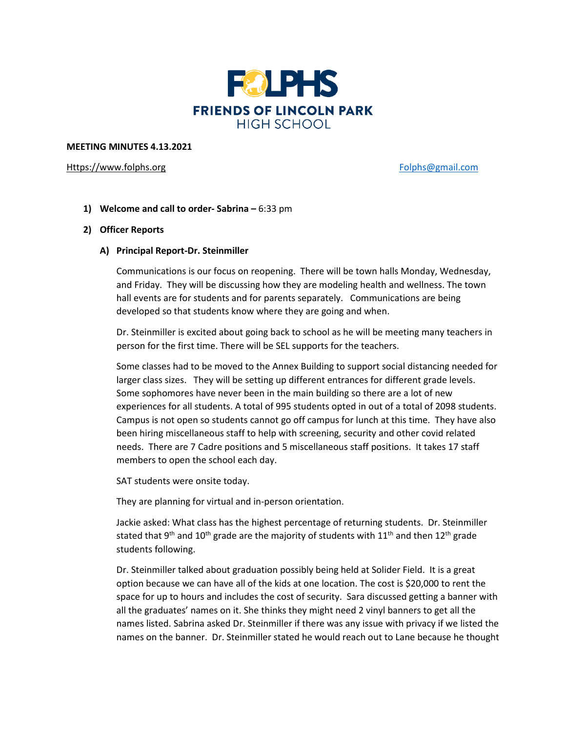

#### **MEETING MINUTES 4.13.2021**

#### [Https://www.folphs.org](https://www.folphs.org/) [Folphs@gmail.com](mailto:Folphs@gmail.com)

**1) Welcome and call to order- Sabrina –** 6:33 pm

### **2) Officer Reports**

### **A) Principal Report-Dr. Steinmiller**

Communications is our focus on reopening. There will be town halls Monday, Wednesday, and Friday. They will be discussing how they are modeling health and wellness. The town hall events are for students and for parents separately. Communications are being developed so that students know where they are going and when.

Dr. Steinmiller is excited about going back to school as he will be meeting many teachers in person for the first time. There will be SEL supports for the teachers.

Some classes had to be moved to the Annex Building to support social distancing needed for larger class sizes. They will be setting up different entrances for different grade levels. Some sophomores have never been in the main building so there are a lot of new experiences for all students. A total of 995 students opted in out of a total of 2098 students. Campus is not open so students cannot go off campus for lunch at this time. They have also been hiring miscellaneous staff to help with screening, security and other covid related needs. There are 7 Cadre positions and 5 miscellaneous staff positions. It takes 17 staff members to open the school each day.

SAT students were onsite today.

They are planning for virtual and in-person orientation.

Jackie asked: What class has the highest percentage of returning students. Dr. Steinmiller stated that 9<sup>th</sup> and 10<sup>th</sup> grade are the majority of students with 11<sup>th</sup> and then 12<sup>th</sup> grade students following.

Dr. Steinmiller talked about graduation possibly being held at Solider Field. It is a great option because we can have all of the kids at one location. The cost is \$20,000 to rent the space for up to hours and includes the cost of security. Sara discussed getting a banner with all the graduates' names on it. She thinks they might need 2 vinyl banners to get all the names listed. Sabrina asked Dr. Steinmiller if there was any issue with privacy if we listed the names on the banner. Dr. Steinmiller stated he would reach out to Lane because he thought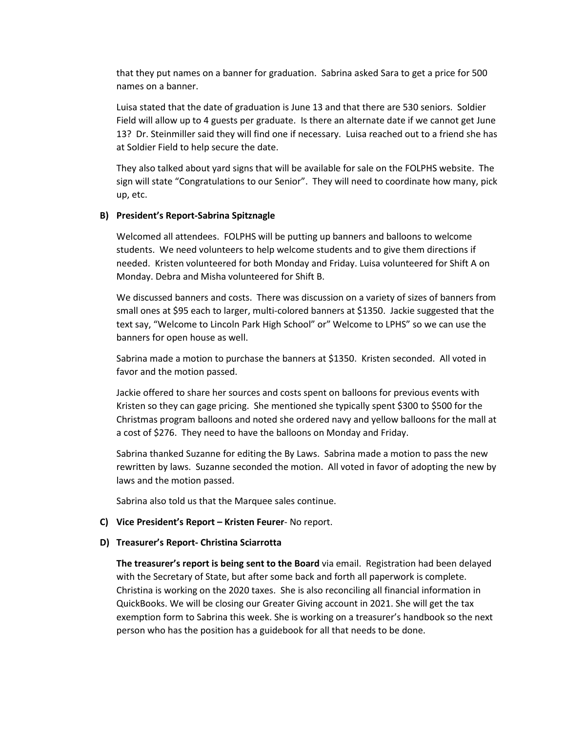that they put names on a banner for graduation. Sabrina asked Sara to get a price for 500 names on a banner.

Luisa stated that the date of graduation is June 13 and that there are 530 seniors. Soldier Field will allow up to 4 guests per graduate. Is there an alternate date if we cannot get June 13? Dr. Steinmiller said they will find one if necessary. Luisa reached out to a friend she has at Soldier Field to help secure the date.

They also talked about yard signs that will be available for sale on the FOLPHS website. The sign will state "Congratulations to our Senior". They will need to coordinate how many, pick up, etc.

#### **B) President's Report-Sabrina Spitznagle**

Welcomed all attendees. FOLPHS will be putting up banners and balloons to welcome students. We need volunteers to help welcome students and to give them directions if needed. Kristen volunteered for both Monday and Friday. Luisa volunteered for Shift A on Monday. Debra and Misha volunteered for Shift B.

We discussed banners and costs. There was discussion on a variety of sizes of banners from small ones at \$95 each to larger, multi-colored banners at \$1350. Jackie suggested that the text say, "Welcome to Lincoln Park High School" or" Welcome to LPHS" so we can use the banners for open house as well.

Sabrina made a motion to purchase the banners at \$1350. Kristen seconded. All voted in favor and the motion passed.

Jackie offered to share her sources and costs spent on balloons for previous events with Kristen so they can gage pricing. She mentioned she typically spent \$300 to \$500 for the Christmas program balloons and noted she ordered navy and yellow balloons for the mall at a cost of \$276. They need to have the balloons on Monday and Friday.

Sabrina thanked Suzanne for editing the By Laws. Sabrina made a motion to pass the new rewritten by laws. Suzanne seconded the motion. All voted in favor of adopting the new by laws and the motion passed.

Sabrina also told us that the Marquee sales continue.

#### **C) Vice President's Report – Kristen Feurer**- No report.

#### **D) Treasurer's Report- Christina Sciarrotta**

**The treasurer's report is being sent to the Board** via email. Registration had been delayed with the Secretary of State, but after some back and forth all paperwork is complete. Christina is working on the 2020 taxes. She is also reconciling all financial information in QuickBooks. We will be closing our Greater Giving account in 2021. She will get the tax exemption form to Sabrina this week. She is working on a treasurer's handbook so the next person who has the position has a guidebook for all that needs to be done.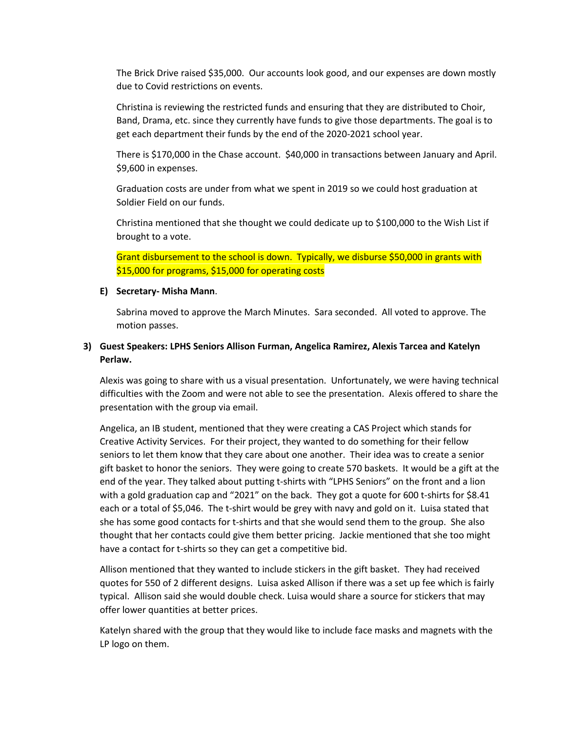The Brick Drive raised \$35,000. Our accounts look good, and our expenses are down mostly due to Covid restrictions on events.

Christina is reviewing the restricted funds and ensuring that they are distributed to Choir, Band, Drama, etc. since they currently have funds to give those departments. The goal is to get each department their funds by the end of the 2020-2021 school year.

There is \$170,000 in the Chase account. \$40,000 in transactions between January and April. \$9,600 in expenses.

Graduation costs are under from what we spent in 2019 so we could host graduation at Soldier Field on our funds.

Christina mentioned that she thought we could dedicate up to \$100,000 to the Wish List if brought to a vote.

Grant disbursement to the school is down. Typically, we disburse \$50,000 in grants with \$15,000 for programs, \$15,000 for operating costs

#### **E) Secretary- Misha Mann**.

Sabrina moved to approve the March Minutes. Sara seconded. All voted to approve. The motion passes.

## **3) Guest Speakers: LPHS Seniors Allison Furman, Angelica Ramirez, Alexis Tarcea and Katelyn Perlaw.**

Alexis was going to share with us a visual presentation. Unfortunately, we were having technical difficulties with the Zoom and were not able to see the presentation. Alexis offered to share the presentation with the group via email.

Angelica, an IB student, mentioned that they were creating a CAS Project which stands for Creative Activity Services. For their project, they wanted to do something for their fellow seniors to let them know that they care about one another. Their idea was to create a senior gift basket to honor the seniors. They were going to create 570 baskets. It would be a gift at the end of the year. They talked about putting t-shirts with "LPHS Seniors" on the front and a lion with a gold graduation cap and "2021" on the back. They got a quote for 600 t-shirts for \$8.41 each or a total of \$5,046. The t-shirt would be grey with navy and gold on it. Luisa stated that she has some good contacts for t-shirts and that she would send them to the group. She also thought that her contacts could give them better pricing. Jackie mentioned that she too might have a contact for t-shirts so they can get a competitive bid.

Allison mentioned that they wanted to include stickers in the gift basket. They had received quotes for 550 of 2 different designs. Luisa asked Allison if there was a set up fee which is fairly typical. Allison said she would double check. Luisa would share a source for stickers that may offer lower quantities at better prices.

Katelyn shared with the group that they would like to include face masks and magnets with the LP logo on them.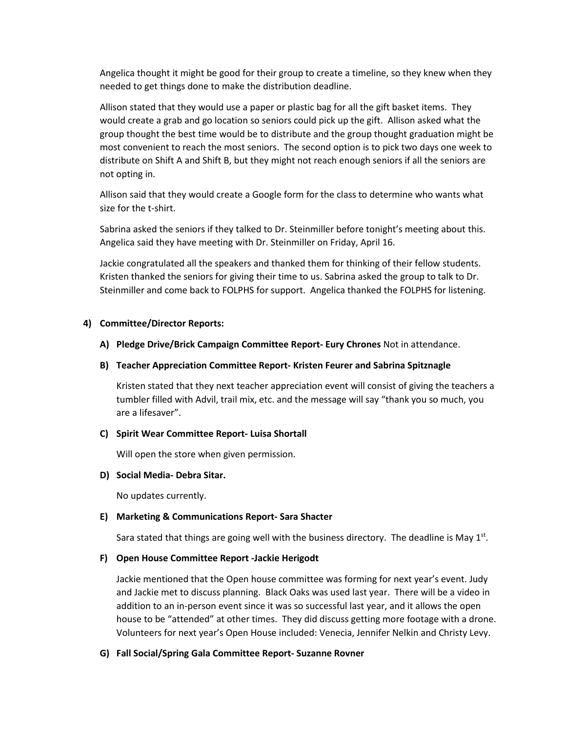Angelica thought it might be good for their group to create a timeline, so they knew when they needed to get things done to make the distribution deadline.

Allison stated that they would use a paper or plastic bag for all the gift basket items. They would create a grab and go location so seniors could pick up the gift. Allison asked what the group thought the best time would be to distribute and the group thought graduation might be most convenient to reach the most seniors. The second option is to pick two days one week to distribute on Shift A and Shift B, but they might not reach enough seniors if all the seniors are not opting in.

Allison said that they would create a Google form for the class to determine who wants what size for the t-shirt.

Sabrina asked the seniors if they talked to Dr. Steinmiller before tonight's meeting about this. Angelica said they have meeting with Dr. Steinmiller on Friday, April 16.

Jackie congratulated all the speakers and thanked them for thinking of their fellow students. Kristen thanked the seniors for giving their time to us. Sabrina asked the group to talk to Dr. Steinmiller and come back to FOLPHS for support. Angelica thanked the FOLPHS for listening.

### **4) Committee/Director Reports:**

#### **A) Pledge Drive/Brick Campaign Committee Report- Eury Chrones** Not in attendance.

#### **B) Teacher Appreciation Committee Report- Kristen Feurer and Sabrina Spitznagle**

Kristen stated that they next teacher appreciation event will consist of giving the teachers a tumbler filled with Advil, trail mix, etc. and the message will say "thank you so much, you are a lifesaver".

#### **C) Spirit Wear Committee Report- Luisa Shortall**

Will open the store when given permission.

### **D) Social Media- Debra Sitar.**

No updates currently.

#### **E) Marketing & Communications Report- Sara Shacter**

Sara stated that things are going well with the business directory. The deadline is May  $1<sup>st</sup>$ .

#### **F) Open House Committee Report -Jackie Herigodt**

Jackie mentioned that the Open house committee was forming for next year's event. Judy and Jackie met to discuss planning. Black Oaks was used last year. There will be a video in addition to an in-person event since it was so successful last year, and it allows the open house to be "attended" at other times. They did discuss getting more footage with a drone. Volunteers for next year's Open House included: Venecia, Jennifer Nelkin and Christy Levy.

#### **G) Fall Social/Spring Gala Committee Report- Suzanne Rovner**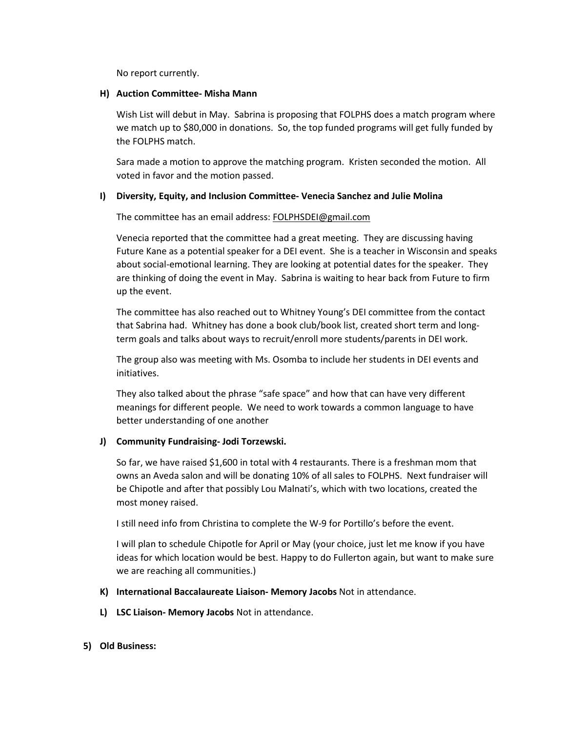No report currently.

### **H) Auction Committee- Misha Mann**

Wish List will debut in May. Sabrina is proposing that FOLPHS does a match program where we match up to \$80,000 in donations. So, the top funded programs will get fully funded by the FOLPHS match.

Sara made a motion to approve the matching program. Kristen seconded the motion. All voted in favor and the motion passed.

## **I) Diversity, Equity, and Inclusion Committee- Venecia Sanchez and Julie Molina**

The committee has an email address: [FOLPHSDEI@gmail.com](mailto:FOLPHSDEI@gmail.com)

Venecia reported that the committee had a great meeting. They are discussing having Future Kane as a potential speaker for a DEI event. She is a teacher in Wisconsin and speaks about social-emotional learning. They are looking at potential dates for the speaker. They are thinking of doing the event in May. Sabrina is waiting to hear back from Future to firm up the event.

The committee has also reached out to Whitney Young's DEI committee from the contact that Sabrina had. Whitney has done a book club/book list, created short term and longterm goals and talks about ways to recruit/enroll more students/parents in DEI work.

The group also was meeting with Ms. Osomba to include her students in DEI events and initiatives.

They also talked about the phrase "safe space" and how that can have very different meanings for different people. We need to work towards a common language to have better understanding of one another

## **J) Community Fundraising- Jodi Torzewski.**

So far, we have raised \$1,600 in total with 4 restaurants. There is a freshman mom that owns an Aveda salon and will be donating 10% of all sales to FOLPHS. Next fundraiser will be Chipotle and after that possibly Lou Malnati's, which with two locations, created the most money raised.

I still need info from Christina to complete the W-9 for Portillo's before the event.

I will plan to schedule Chipotle for April or May (your choice, just let me know if you have ideas for which location would be best. Happy to do Fullerton again, but want to make sure we are reaching all communities.)

- **K) International Baccalaureate Liaison- Memory Jacobs** Not in attendance.
- **L) LSC Liaison- Memory Jacobs** Not in attendance.
- **5) Old Business:**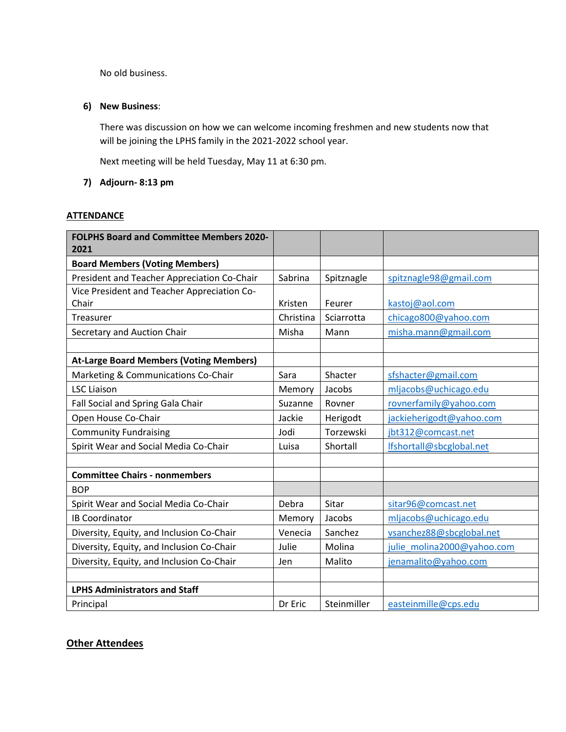No old business.

## **6) New Business**:

There was discussion on how we can welcome incoming freshmen and new students now that will be joining the LPHS family in the 2021-2022 school year.

Next meeting will be held Tuesday, May 11 at 6:30 pm.

## **7) Adjourn- 8:13 pm**

## **ATTENDANCE**

| <b>FOLPHS Board and Committee Members 2020-</b> |           |             |                            |
|-------------------------------------------------|-----------|-------------|----------------------------|
| 2021                                            |           |             |                            |
| <b>Board Members (Voting Members)</b>           |           |             |                            |
| President and Teacher Appreciation Co-Chair     | Sabrina   | Spitznagle  | spitznagle98@gmail.com     |
| Vice President and Teacher Appreciation Co-     |           |             |                            |
| Chair                                           | Kristen   | Feurer      | kastoj@aol.com             |
| Treasurer                                       | Christina | Sciarrotta  | chicago800@yahoo.com       |
| Secretary and Auction Chair                     | Misha     | Mann        | misha.mann@gmail.com       |
|                                                 |           |             |                            |
| <b>At-Large Board Members (Voting Members)</b>  |           |             |                            |
| Marketing & Communications Co-Chair             | Sara      | Shacter     | sfshacter@gmail.com        |
| <b>LSC Liaison</b>                              | Memory    | Jacobs      | mljacobs@uchicago.edu      |
| Fall Social and Spring Gala Chair               | Suzanne   | Rovner      | rovnerfamily@yahoo.com     |
| Open House Co-Chair                             | Jackie    | Herigodt    | jackieherigodt@yahoo.com   |
| <b>Community Fundraising</b>                    | Jodi      | Torzewski   | jbt312@comcast.net         |
| Spirit Wear and Social Media Co-Chair           | Luisa     | Shortall    | Ifshortall@sbcglobal.net   |
|                                                 |           |             |                            |
| <b>Committee Chairs - nonmembers</b>            |           |             |                            |
| <b>BOP</b>                                      |           |             |                            |
| Spirit Wear and Social Media Co-Chair           | Debra     | Sitar       | sitar96@comcast.net        |
| <b>IB Coordinator</b>                           | Memory    | Jacobs      | mljacobs@uchicago.edu      |
| Diversity, Equity, and Inclusion Co-Chair       | Venecia   | Sanchez     | vsanchez88@sbcglobal.net   |
| Diversity, Equity, and Inclusion Co-Chair       | Julie     | Molina      | julie molina2000@yahoo.com |
| Diversity, Equity, and Inclusion Co-Chair       | Jen       | Malito      | jenamalito@yahoo.com       |
|                                                 |           |             |                            |
| <b>LPHS Administrators and Staff</b>            |           |             |                            |
| Principal                                       | Dr Eric   | Steinmiller | easteinmille@cps.edu       |

# **Other Attendees**